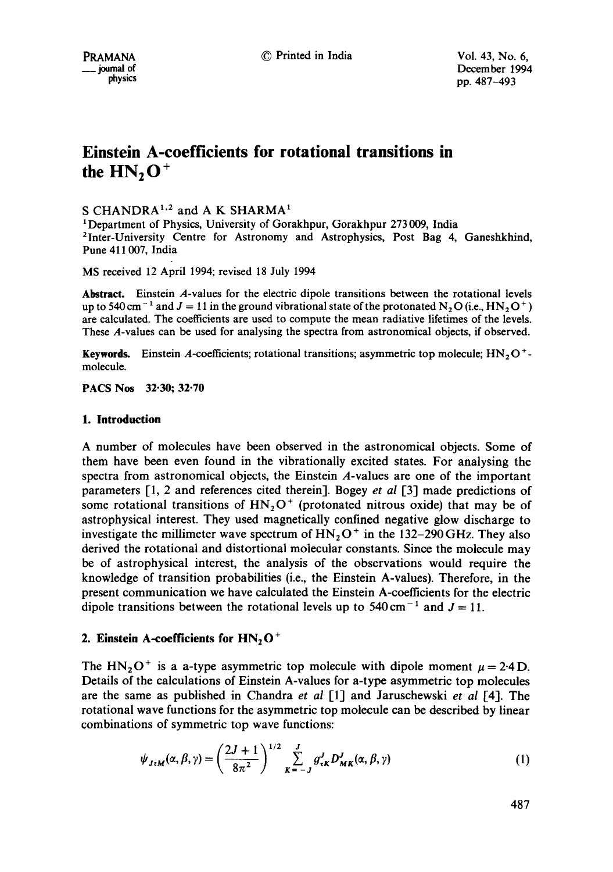# **Einstein A-coefficients for rotational transitions in**  the  $HN, O^+$

## S CHANDRA<sup>1,2</sup> and A K SHARMA<sup>1</sup>

<sup>1</sup> Department of Physics, University of Gorakhpur, Gorakhpur 273 009, India 2Inter-University Centre for Astronomy and Astrophysics, Post Bag 4, Ganeshkhind, Pune 411007, India

MS received 12 April 1994; revised 18 July 1994

**Abstract.** Einstein A-values for the electric dipole transitions between the rotational levels up to 540 cm<sup>-1</sup> and  $J = 11$  in the ground vibrational state of the protonated N<sub>2</sub>O (i.e., HN<sub>2</sub>O<sup>+</sup>) are calculated. The coefficients are used to compute the mean radiative lifetimes of the levels. These A-values can be used for analysing the spectra from astronomical objects, if observed.

Keywords. Einstein A-coefficients; rotational transitions; asymmetric top molecule;  $HN<sub>2</sub>O<sup>+</sup>$ molecule.

PACS Nos 32.30; **32.70** 

### **1. Introduction**

A number of molecules have been observed in the astronomical objects. Some of them have been even found in the vibrationally excited states. For analysing the spectra from astronomical objects, the Einstein A-values are one of the important parameters [1, 2 and references cited therein]. Bogey *et al* [3] made predictions of some rotational transitions of  $HN<sub>2</sub>O<sup>+</sup>$  (protonated nitrous oxide) that may be of astrophysical interest. They used magnetically confined negative glow discharge to investigate the millimeter wave spectrum of  $HN<sub>2</sub>O<sup>+</sup>$  in the 132-290 GHz. They also derived the rotational and distortional molecular constants. Since the molecule may be of astrophysical interest, the analysis of the observations would require the knowledge of transition probabilities (i.e., the Einstein A-values). Therefore, in the present communication we have calculated the Einstein A-coefficients for the electric dipole transitions between the rotational levels up to  $540 \text{ cm}^{-1}$  and  $J = 11$ .

## 2. Einstein A-coefficients for HN<sub>2</sub>O<sup>+</sup>

The HN<sub>2</sub>O<sup>+</sup> is a a-type asymmetric top molecule with dipole moment  $\mu = 2.4$ D. Details of the calculations of Einstein A-values for a-type asymmetric top molecules are the same as published in Chandra *et al* [1] and Jaruschewski *et al* [4]. The rotational wave functions for the asymmetric top molecule can be described by linear combinations of symmetric top wave functions:

$$
\psi_{J \tau M}(\alpha, \beta, \gamma) = \left(\frac{2J+1}{8\pi^2}\right)^{1/2} \sum_{K=-J}^{J} g_{\tau K}^J D_{MK}^J(\alpha, \beta, \gamma)
$$
(1)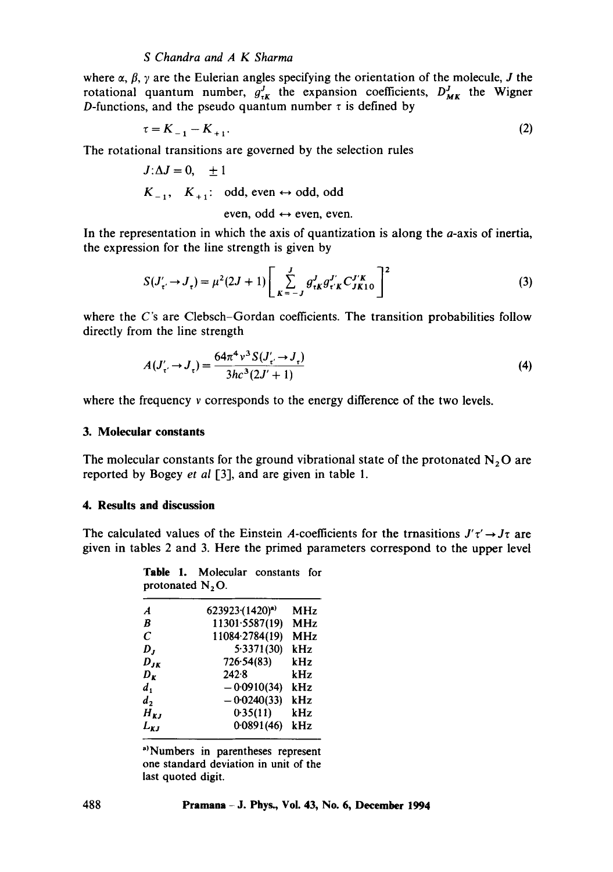## *S Chandra and A K Sharma*

where  $\alpha$ ,  $\beta$ ,  $\gamma$  are the Eulerian angles specifying the orientation of the molecule, J the rotational quantum number,  $g_{\tau K}^J$  the expansion coefficients,  $D_{MK}^J$  the Wigner D-functions, and the pseudo quantum number  $\tau$  is defined by

$$
\tau = K_{-1} - K_{+1}.\tag{2}
$$

The rotational transitions are governed by the selection rules

$$
J:\Delta J = 0, \pm 1
$$
  
\n $K_{-1}, K_{+1}: \text{odd, even} \leftrightarrow \text{odd, odd}$   
\neven, odd  $\leftrightarrow$  even, even.

In the representation in which the axis of quantization is along the  $a$ -axis of inertia, the expression for the line strength is given by

$$
S(J'_{\tau'} \to J_{\tau}) = \mu^{2} (2J + 1) \left[ \sum_{K=-J}^{J} g_{\tau K}^{J} g_{\tau' K}^{J' K} C_{JK 10}^{J' K} \right]^{2}
$$
(3)

where the *C*'s are Clebsch–Gordan coefficients. The transition probabilities follow directly from the line strength

$$
A(J'_{\tau'} \to J_{\tau}) = \frac{64\pi^4 v^3 S(J'_{\tau'} \to J_{\tau})}{3hc^3(2J' + 1)}
$$
(4)

where the frequency v corresponds to the energy difference of the two levels.

## **3. Molecular constants**

The molecular constants for the ground vibrational state of the protonated  $N_2O$  are reported by Bogey *et al* [3], and are given in table 1.

### **4. Results and discussion**

The calculated values of the Einstein A-coefficients for the trnasitions  $J'\tau' \rightarrow J\tau$  are given in tables 2 and 3. Here the primed parameters correspond to the upper level

|  | <b>Table 1.</b> Molecular constants for |  |
|--|-----------------------------------------|--|
|  | protonated $N_2O$ .                     |  |

| A                             | 623923(1420) <sup>a)</sup> | MHz        |
|-------------------------------|----------------------------|------------|
| B                             | 11301.5587(19)             | <b>MHz</b> |
| C                             | 11084-2784(19)             | <b>MHz</b> |
| D,                            | 5.3371(30)                 | kHz        |
| $D_{JK}$                      | 726.54(83)                 | kHz        |
| $D_{\boldsymbol{\mathit{x}}}$ | 242.8                      | kHz        |
| $d_{1}$                       | $-0.0910(34)$              | kHz        |
| d,                            | $-0.0240(33)$              | kHz        |
| $H_{\boldsymbol{K}J}$         | 0.35(11)                   | kHz        |
| $L_{\mathbf{KJ}}$             | 0.0891(46)                 | kHz        |
|                               |                            |            |

<sup>a)</sup>Numbers in parentheses represent one standard deviation in unit of **the**  last quoted digit.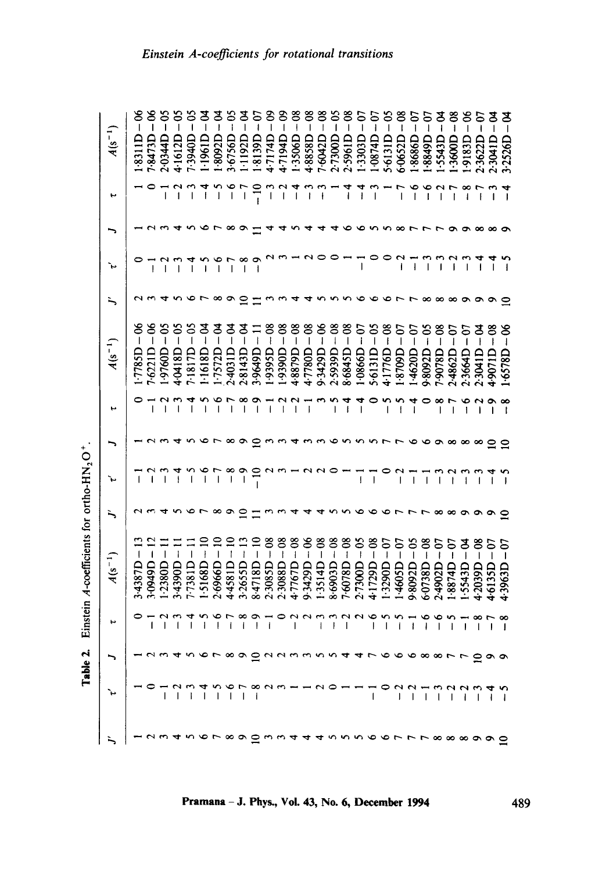Table 2. Einstein A-coefficients for ortho-HN<sub>2</sub>O<sup>+</sup>.

|  |                          | F               | $A(s^{-1})$                                                                                                                                                                                                                                                                                                                                                                                 |   | ν            | ۰,       | ب                                     | $A(s^{-1})$                                                                                                                                                                                                                                                                                                                                                                                      | `⊷                |   | ۳                        | $A(s^{-1})$                               |
|--|--------------------------|-----------------|---------------------------------------------------------------------------------------------------------------------------------------------------------------------------------------------------------------------------------------------------------------------------------------------------------------------------------------------------------------------------------------------|---|--------------|----------|---------------------------------------|--------------------------------------------------------------------------------------------------------------------------------------------------------------------------------------------------------------------------------------------------------------------------------------------------------------------------------------------------------------------------------------------------|-------------------|---|--------------------------|-------------------------------------------|
|  |                          |                 | $\overline{\phantom{a}}$<br>3.4387D                                                                                                                                                                                                                                                                                                                                                         |   |              |          |                                       | ఠ<br>$\overline{\phantom{a}}$<br>1.7785D                                                                                                                                                                                                                                                                                                                                                         |                   |   |                          | క<br>$\overline{\phantom{a}}$<br>1.831 ID |
|  | - 2345678999445668875999 |                 | $\overline{\phantom{a}}$<br>3-0949D                                                                                                                                                                                                                                                                                                                                                         |   |              |          |                                       | $\overline{\phantom{a}}$<br>7.6221D                                                                                                                                                                                                                                                                                                                                                              | ŧ                 |   |                          | $\mathbf{l}$<br>7.8473D                   |
|  |                          |                 | ı<br>.2380D                                                                                                                                                                                                                                                                                                                                                                                 |   | $\mathsf{I}$ |          | ٣<br>$\overline{1}$                   | $\frac{50}{1}$<br>1.9760D                                                                                                                                                                                                                                                                                                                                                                        | $\mathbf{I}$      |   | I                        | 2.0344D                                   |
|  |                          |                 | 3.4390D                                                                                                                                                                                                                                                                                                                                                                                     |   | ł            |          | $\overline{1}$                        | ప<br>$\overline{\phantom{a}}$<br>4.0418D                                                                                                                                                                                                                                                                                                                                                         | I                 |   | c<br>1                   | 4.1612D                                   |
|  |                          | ▿               | I<br>7.7381D                                                                                                                                                                                                                                                                                                                                                                                |   |              |          | 4                                     | ဒ<br>$\mathbf I$<br>7.1817D                                                                                                                                                                                                                                                                                                                                                                      | I                 |   |                          | I<br>7.3940D                              |
|  |                          |                 | $\mathbf{I}$<br>.5168D                                                                                                                                                                                                                                                                                                                                                                      |   |              |          |                                       | ट<br>न<br>1.1618D                                                                                                                                                                                                                                                                                                                                                                                |                   |   | ↴                        | $\overline{\phantom{a}}$<br>1.1961D       |
|  |                          |                 | $\mathbf{I}$<br>2.6966D                                                                                                                                                                                                                                                                                                                                                                     |   |              |          |                                       | $\frac{5}{4}$<br>.7572D                                                                                                                                                                                                                                                                                                                                                                          |                   |   | s                        | I<br>1.8092D                              |
|  |                          |                 | $\mathbf{I}$<br>4.4581D                                                                                                                                                                                                                                                                                                                                                                     |   |              |          | $\overline{ }$                        | ट<br>न<br>2.4031D                                                                                                                                                                                                                                                                                                                                                                                | ∽<br>T            |   | ৩                        | ì<br>3.6756D                              |
|  |                          | $^{\circ}$<br>I | $\begin{array}{c} \rule{0pt}{2.5ex} \rule{0pt}{2.5ex} \rule{0pt}{2.5ex} \rule{0pt}{2.5ex} \rule{0pt}{2.5ex} \rule{0pt}{2.5ex} \rule{0pt}{2.5ex} \rule{0pt}{2.5ex} \rule{0pt}{2.5ex} \rule{0pt}{2.5ex} \rule{0pt}{2.5ex} \rule{0pt}{2.5ex} \rule{0pt}{2.5ex} \rule{0pt}{2.5ex} \rule{0pt}{2.5ex} \rule{0pt}{2.5ex} \rule{0pt}{2.5ex} \rule{0pt}{2.5ex} \rule{0pt}{2.5ex} \rule{0$<br>3.2655D |   |              |          | $\infty$<br>$\mathbf{I}$              | ट<br>न<br>2.8143D                                                                                                                                                                                                                                                                                                                                                                                | ∞<br>$\mathsf{I}$ |   |                          | I<br>1.1192D                              |
|  |                          | ᢁ<br>I          | Ï<br>G81718D                                                                                                                                                                                                                                                                                                                                                                                |   |              |          | ᢁ<br>$\overline{1}$                   | ;<br>⊺<br>3.9649D                                                                                                                                                                                                                                                                                                                                                                                | ຶ<br>$\mathbf{I}$ |   | $-10$                    | I<br>1.8139D                              |
|  |                          | ł               | $\overline{1}$<br>2.3085D                                                                                                                                                                                                                                                                                                                                                                   |   |              |          | $\mathbf{I}$                          | $-08$<br>1.9395D                                                                                                                                                                                                                                                                                                                                                                                 |                   |   | $\overline{\phantom{a}}$ | S<br>I<br>4.7174D                         |
|  |                          | 0               | $-08$<br>2.3088D                                                                                                                                                                                                                                                                                                                                                                            |   |              |          | $\left\vert \right\vert$              | $-08$<br><b>T0666-1</b>                                                                                                                                                                                                                                                                                                                                                                          |                   |   | $\mathbf{I}$             | 1<br>4.7194D                              |
|  |                          |                 | క<br>$\overline{1}$<br>4.7767D                                                                                                                                                                                                                                                                                                                                                              |   |              |          | $\mathbf{\mathsf{a}}$<br>$\mathbf{I}$ | $-08$<br>4.8879D                                                                                                                                                                                                                                                                                                                                                                                 |                   |   | ₹<br>$\mathsf{I}$        | ł<br>1.3506D                              |
|  |                          | $\sim$          | $\pmb{\mathsf{l}}$<br>9.3429D                                                                                                                                                                                                                                                                                                                                                               |   |              |          | ł                                     | $-08$<br>4.7780D                                                                                                                                                                                                                                                                                                                                                                                 |                   |   | ı                        | J<br>4.8858D                              |
|  |                          |                 | $\overline{\phantom{a}}$<br>3514D                                                                                                                                                                                                                                                                                                                                                           |   |              |          |                                       | $-06$<br>9.3429D                                                                                                                                                                                                                                                                                                                                                                                 |                   |   | ł                        | ł<br>7.6042D                              |
|  |                          |                 | క<br>$\begin{array}{c} \hline \end{array}$<br>8.6903D                                                                                                                                                                                                                                                                                                                                       |   |              |          | I                                     | $-08$<br>2.5939D                                                                                                                                                                                                                                                                                                                                                                                 |                   |   |                          | I<br>2.7300D                              |
|  |                          | I               | క<br>Ì<br>7.6078D                                                                                                                                                                                                                                                                                                                                                                           |   |              |          | $\overline{\phantom{a}1}$             | క<br>$\mathbf{I}$<br>8.6845D                                                                                                                                                                                                                                                                                                                                                                     |                   |   | I                        | I<br>2.5961D                              |
|  |                          |                 | $\overline{\phantom{a}}$<br>2.7300D                                                                                                                                                                                                                                                                                                                                                         |   | $\mathbf{I}$ |          | $\frac{4}{1}$                         | $-07$<br>1.0866D                                                                                                                                                                                                                                                                                                                                                                                 | $\overline{1}$    |   | ı                        | I<br>1.3303D                              |
|  |                          |                 | 4.1729D                                                                                                                                                                                                                                                                                                                                                                                     |   | $\mathsf{I}$ |          | 0                                     | S<br>$\overline{\phantom{a}}$<br>5.6131D                                                                                                                                                                                                                                                                                                                                                         |                   |   | I                        | I<br>L+180.1                              |
|  |                          |                 | δ<br>3290D                                                                                                                                                                                                                                                                                                                                                                                  |   |              |          | n                                     | $4.1776D - 08$                                                                                                                                                                                                                                                                                                                                                                                   |                   |   |                          | I<br>5.6131D                              |
|  |                          |                 | $-67$<br>4605D                                                                                                                                                                                                                                                                                                                                                                              |   | I            |          | s<br>$\overline{1}$                   | $-6$<br>1.8709D                                                                                                                                                                                                                                                                                                                                                                                  | ł                 | ∞ | $\mathsf I$              | 6.0652D                                   |
|  |                          | $\mathbf{I}$    | 9.8092D                                                                                                                                                                                                                                                                                                                                                                                     |   | $\mathsf{I}$ |          | ෑ<br>$\overline{\mathbf{I}}$          | $-0$<br>1.4620D                                                                                                                                                                                                                                                                                                                                                                                  | ł                 |   | ७<br>ł                   | ခ<br>I<br>1.8686D                         |
|  |                          | I               | $-08$<br>6.0738D                                                                                                                                                                                                                                                                                                                                                                            | г | T            |          | 0                                     | $-05$<br>9.8092D                                                                                                                                                                                                                                                                                                                                                                                 |                   |   | ৩<br>I                   | Lep88-1                                   |
|  |                          | ı               | $-07$<br>2.4902D                                                                                                                                                                                                                                                                                                                                                                            | ∞ | $\mathsf{l}$ |          | ∞                                     | $-08$<br>7.9078D                                                                                                                                                                                                                                                                                                                                                                                 |                   |   | $\sim$<br>I              | GEPSS-                                    |
|  |                          |                 | ခ<br>L8874D                                                                                                                                                                                                                                                                                                                                                                                 | ∞ |              | $\infty$ | $\overline{ }$                        | S<br>$\overline{\mathbf{I}}$<br>2.4862D                                                                                                                                                                                                                                                                                                                                                          |                   |   | $\mathbf{I}$             | ı<br>$-3600D$                             |
|  |                          | ı               | ड<br>1.5543D                                                                                                                                                                                                                                                                                                                                                                                | ᠌ | ł            | $\infty$ | ७                                     | ຣ<br>$\mathbf{I}$<br>2.3664D                                                                                                                                                                                                                                                                                                                                                                     | ı                 |   | $\infty$<br>$\mathbf{I}$ | <b>GE816</b>                              |
|  |                          | $\mathsf{I}$    | 4.2039D                                                                                                                                                                                                                                                                                                                                                                                     | ᢁ | $\mathbf{1}$ |          |                                       | ष<br>।<br>2.3041D                                                                                                                                                                                                                                                                                                                                                                                |                   |   | ł                        | 2:3622D                                   |
|  |                          | I               | δ<br>4.6135D                                                                                                                                                                                                                                                                                                                                                                                |   |              | ≘        | σ                                     | ఠ<br>$\begin{array}{c} \rule{0pt}{2.5ex} \rule{0pt}{2.5ex} \rule{0pt}{2.5ex} \rule{0pt}{2.5ex} \rule{0pt}{2.5ex} \rule{0pt}{2.5ex} \rule{0pt}{2.5ex} \rule{0pt}{2.5ex} \rule{0pt}{2.5ex} \rule{0pt}{2.5ex} \rule{0pt}{2.5ex} \rule{0pt}{2.5ex} \rule{0pt}{2.5ex} \rule{0pt}{2.5ex} \rule{0pt}{2.5ex} \rule{0pt}{2.5ex} \rule{0pt}{2.5ex} \rule{0pt}{2.5ex} \rule{0pt}{2.5ex} \rule{0$<br>4.907ID |                   |   | ı                        | 8<br>2.3041D                              |
|  |                          | I               | S<br>4.3963D                                                                                                                                                                                                                                                                                                                                                                                |   |              | ≘        |                                       | క<br>$\mathbf{I}$<br>$-6578D$                                                                                                                                                                                                                                                                                                                                                                    |                   |   | ı                        | 8<br>ı<br>3.2526D                         |

489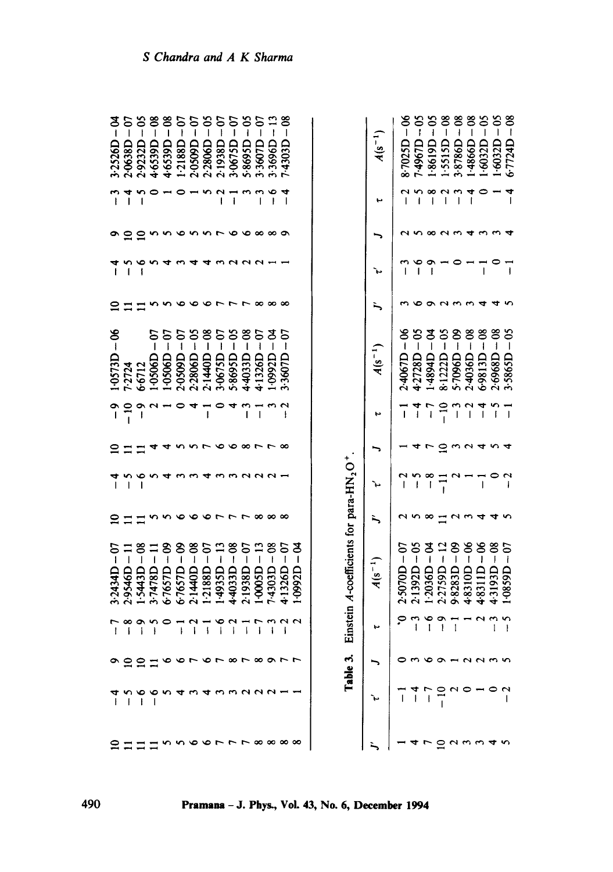|                  | ີ              | <u>ဘို</u>     | ە<br>-         | $-8$              | $-07$                        | 07<br>ا                 | $-65$              | $-6$                    | ິງ                     | $30 -$            | ε                              | $\frac{13}{1}$         | క                 |                                               |  |                                                                   |             | $-66$                        | ဒို                      | $\frac{50}{1}$    | $\frac{8}{1}$                | $-08$                    | $-88$                                | $-65$                        | ర                                                                                                                                                                                                                                                                                                                                                                                               | ೆ<br>1       |
|------------------|----------------|----------------|----------------|-------------------|------------------------------|-------------------------|--------------------|-------------------------|------------------------|-------------------|--------------------------------|------------------------|-------------------|-----------------------------------------------|--|-------------------------------------------------------------------|-------------|------------------------------|--------------------------|-------------------|------------------------------|--------------------------|--------------------------------------|------------------------------|-------------------------------------------------------------------------------------------------------------------------------------------------------------------------------------------------------------------------------------------------------------------------------------------------------------------------------------------------------------------------------------------------|--------------|
| 3.2526D          | 2.0638D        | 2.9232D        | 4.6539D        | 4.6539D           | 1.2188D                      | 2.0509D                 | 2.2806D            | 2.1938D                 | 3-0675D                | 5-8695D           | 3-3607D                        | 3.3696D                | 7.4303D           |                                               |  |                                                                   | $A(s^{-1})$ | 8.7025D                      | 7-4967D                  | L8619D            | 1.5515D                      | 3.8786D                  | 1998b-1                              | 1.6032D                      | 1.6032D                                                                                                                                                                                                                                                                                                                                                                                         |              |
|                  | ₹<br>Ï         | S              |                |                   | 0                            |                         | S                  | $\sim$<br>ţ             | l                      | w                 | S<br>I                         | $\bullet$<br>I         | ◂<br>I            |                                               |  |                                                                   | ۳           |                              | n<br>ı                   | ∞                 | $\sim$                       | $\sim$                   | 4                                    | 0                            |                                                                                                                                                                                                                                                                                                                                                                                                 |              |
|                  |                |                |                |                   |                              |                         |                    | Ē                       |                        |                   | ∞                              | ∞∽                     |                   |                                               |  |                                                                   |             |                              |                          | ∞                 | $\sim$                       | ొ                        |                                      |                              |                                                                                                                                                                                                                                                                                                                                                                                                 |              |
|                  | $\overline{1}$ | $\mathbf{I}$   |                |                   |                              |                         |                    |                         |                        |                   |                                |                        |                   |                                               |  |                                                                   | ì.,         |                              | ∘<br>$\mathbf{I}$        | ຶ                 |                              |                          |                                      | $\overline{1}$               |                                                                                                                                                                                                                                                                                                                                                                                                 |              |
|                  |                |                |                |                   |                              |                         |                    |                         |                        |                   | ∞                              | œ                      | ∞                 |                                               |  |                                                                   | ∽           |                              |                          |                   |                              |                          |                                      |                              |                                                                                                                                                                                                                                                                                                                                                                                                 |              |
| $-06$<br>1.0573D | 7.2724         | 6.6712         | ຣ<br>1.0506D   | δ<br>ţ<br>1.0506D | S<br>$\mathbf{I}$<br>2.0509D | $-65$<br>2.2806D        | ఠి<br>Ï<br>2.1440D | $-6$<br>3.0675D         | ప<br>Ï<br>5.8695D      | 8<br>I<br>4.4033D | δ<br>Ĩ<br>4.1326D              | ಕೆ<br> <br>1.0992D     | 5<br>ł<br>3-3607D |                                               |  |                                                                   | $A(s^{-1})$ | $\mathbf{I}$<br>2.4067D      | $-65$<br>4.2728D         | ड<br>Ï<br>1.4894D | ప<br>Ï<br>8.1222D            | కి<br>5-7096D            | 8<br>İ<br>2-4036D                    | $-08$<br>6.9813D             | $-08$<br>2.6968D                                                                                                                                                                                                                                                                                                                                                                                |              |
| ຳ                | $\frac{1}{1}$  | 0<br>Ī         | N              |                   |                              |                         | $\mathbf{I}$       | 0                       | 4                      | S<br>Ī            | $\overline{1}$                 | S                      | $\sim$<br>ł       |                                               |  |                                                                   | ۳           |                              | $\frac{4}{1}$            | -7                | $-10$                        | $\overline{\phantom{0}}$ | $\mathbf{\hat{c}}$<br>$\overline{1}$ | $\overline{1}$               | I                                                                                                                                                                                                                                                                                                                                                                                               |              |
|                  |                |                |                |                   |                              |                         |                    | ∾                       | ∾                      | ೲ                 |                                | г                      | œ                 |                                               |  |                                                                   |             |                              |                          |                   | q                            |                          |                                      |                              |                                                                                                                                                                                                                                                                                                                                                                                                 |              |
|                  | I              | ı              |                |                   |                              |                         |                    |                         |                        | NNN               |                                |                        |                   |                                               |  |                                                                   | τ           |                              | ţ                        | ∞<br>⊺            |                              |                          |                                      | I                            |                                                                                                                                                                                                                                                                                                                                                                                                 |              |
|                  |                |                |                |                   |                              |                         |                    |                         |                        |                   | ∞                              | ∞                      | $\infty$          |                                               |  |                                                                   |             |                              | ო თ                      |                   |                              |                          |                                      |                              |                                                                                                                                                                                                                                                                                                                                                                                                 |              |
| $-07$<br>3.2434D | $2.9546D - 11$ | $1.5443D - 08$ | $3.7478D - 11$ | - 09<br>6.7657D   | $6.7657D - 09$               | $-8$<br>2.1440D         | $-97$<br>2188D     | $\frac{13}{1}$<br>4935D | $-08$<br>4.4033D       | $2.1938D - 07$    | $\mathbf{I}$<br>1.0005D        | $-08$<br><b>GE054.</b> | 5<br>$4.1326D -$  | ड<br>$\overline{\phantom{a}}$<br><b>UZ660</b> |  | Einstein A-coefficients for para-HN <sub>2</sub> O <sup>+</sup> . | $A(s^{-1})$ | S<br>$\mathbf{I}$<br>2.5070D | $2.1392D - 05$           | ड<br>I<br>1.2036D | 5<br>$\mathbf{I}$<br>2.2759D | $-89$<br>9.8283D         | ఠ<br>$\mathsf{I}$<br>4.8310D         | క<br>$\mathbf{I}$<br>4.8311D | ఠ<br>$\begin{array}{c} \rule{0pt}{2.5ex} \rule{0pt}{2.5ex} \rule{0pt}{2.5ex} \rule{0pt}{2.5ex} \rule{0pt}{2.5ex} \rule{0pt}{2.5ex} \rule{0pt}{2.5ex} \rule{0pt}{2.5ex} \rule{0pt}{2.5ex} \rule{0pt}{2.5ex} \rule{0pt}{2.5ex} \rule{0pt}{2.5ex} \rule{0pt}{2.5ex} \rule{0pt}{2.5ex} \rule{0pt}{2.5ex} \rule{0pt}{2.5ex} \rule{0pt}{2.5ex} \rule{0pt}{2.5ex} \rule{0pt}{2.5ex} \rule{0$<br>43193D | 5<br>1.0859D |
|                  | ∞<br>ĺ         | ຶ<br>I         | s<br>ł         | 0                 | ł                            | $\mathbf{\hat{c}}$<br>I | $\mathbf{i}$       | ∘<br>$\overline{1}$     | $\sim$<br>$\mathbf{I}$ | $\mathbf{I}$      | $\overline{ }$<br>$\mathbf{I}$ | I                      | m U U<br>j        |                                               |  |                                                                   | ب           | ని                           | $\overline{\phantom{a}}$ | $\frac{6}{1}$     | Ö<br>ţ                       | $\mathbf{I}$             |                                      | $\sim$                       | $\sim$<br>ļ                                                                                                                                                                                                                                                                                                                                                                                     | n            |
|                  |                |                |                |                   |                              | 900166767878977         |                    |                         |                        |                   |                                |                        |                   |                                               |  | Table 3.                                                          |             |                              |                          |                   |                              | onoa-nnnn                |                                      |                              |                                                                                                                                                                                                                                                                                                                                                                                                 |              |
|                  |                |                |                |                   |                              | すいすうことろん                |                    |                         |                        |                   |                                |                        |                   |                                               |  |                                                                   |             |                              |                          |                   |                              |                          |                                      |                              |                                                                                                                                                                                                                                                                                                                                                                                                 |              |
|                  |                |                |                |                   |                              |                         |                    |                         |                        |                   |                                |                        |                   |                                               |  |                                                                   |             |                              |                          |                   |                              | $ \circ$ $\circ$ $\circ$ |                                      |                              |                                                                                                                                                                                                                                                                                                                                                                                                 |              |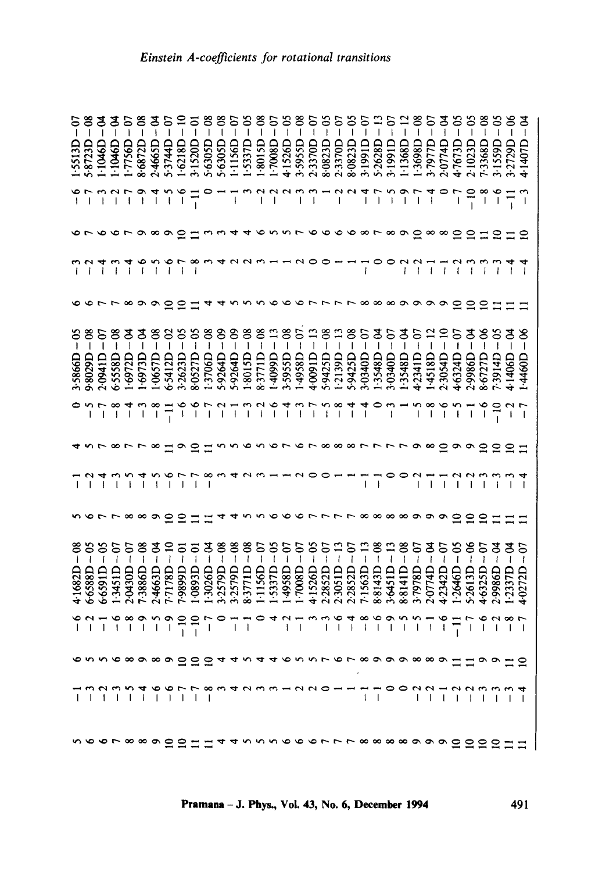| 5<br>$-08$<br>5.8723D<br>1.5513D                                                              | 1.1046D                | 1.1046D                 | 1.7756D                      | $-08$<br>8.6872D                                                                                                                                                                                                                                                                                                                                                                                                            | $\frac{a}{b}$<br>2.4665D |                          | $5.3744D - 07$    | 1.6218D             | 3.1520D                  | $-08$<br>5.6305D  | క<br>$\overline{\phantom{a}}$<br>5.6305D | $\overline{\phantom{a}}$<br>1.1156D | 1.5337D                                | $-05$<br>$\frac{8}{1}$<br>1.8015D | ن<br>ا<br>1.7008D         | 4.1526D                | క<br>3.5955D    | ⊝<br>I           | ဒ<br>I<br>2.3370D<br>8.0823D | S<br>$\mathbf{1}$<br>2.3370D                                                                                                                                                                                                                                                                                                                                                                                   | S<br>$\mathbf l$<br>8.0823D            | $\begin{array}{c} \rule{0pt}{2.5ex} \rule{0pt}{2.5ex} \rule{0pt}{2.5ex} \rule{0pt}{2.5ex} \rule{0pt}{2.5ex} \rule{0pt}{2.5ex} \rule{0pt}{2.5ex} \rule{0pt}{2.5ex} \rule{0pt}{2.5ex} \rule{0pt}{2.5ex} \rule{0pt}{2.5ex} \rule{0pt}{2.5ex} \rule{0pt}{2.5ex} \rule{0pt}{2.5ex} \rule{0pt}{2.5ex} \rule{0pt}{2.5ex} \rule{0pt}{2.5ex} \rule{0pt}{2.5ex} \rule{0pt}{2.5ex} \rule{0$<br>3.1991D | $\frac{1}{1}$<br>5.2628D               | 5م<br>ا<br>3.1991D                                                                                                                                                                                                                                                                                                                                                                                             | $\frac{12}{1}$<br>1.1368D                | క<br>$\overline{\phantom{a}}$<br>1.3698D     | 3-7977D                               | $\frac{5}{4}$<br>2.0774D    | ၶ                                                                              | S<br>$\overline{\phantom{a}}$<br>47673D<br>2.1023D | క<br>7.3368D            | 3.1559D           | 3.2729D                                               |
|-----------------------------------------------------------------------------------------------|------------------------|-------------------------|------------------------------|-----------------------------------------------------------------------------------------------------------------------------------------------------------------------------------------------------------------------------------------------------------------------------------------------------------------------------------------------------------------------------------------------------------------------------|--------------------------|--------------------------|-------------------|---------------------|--------------------------|-------------------|------------------------------------------|-------------------------------------|----------------------------------------|-----------------------------------|---------------------------|------------------------|-----------------|------------------|------------------------------|----------------------------------------------------------------------------------------------------------------------------------------------------------------------------------------------------------------------------------------------------------------------------------------------------------------------------------------------------------------------------------------------------------------|----------------------------------------|---------------------------------------------------------------------------------------------------------------------------------------------------------------------------------------------------------------------------------------------------------------------------------------------------------------------------------------------------------------------------------------------|----------------------------------------|----------------------------------------------------------------------------------------------------------------------------------------------------------------------------------------------------------------------------------------------------------------------------------------------------------------------------------------------------------------------------------------------------------------|------------------------------------------|----------------------------------------------|---------------------------------------|-----------------------------|--------------------------------------------------------------------------------|----------------------------------------------------|-------------------------|-------------------|-------------------------------------------------------|
| $\begin{array}{c}\n\uparrow \\ \uparrow \\ \uparrow \\ \downarrow \\ \downarrow\n\end{array}$ |                        |                         |                              | $\bullet$<br>$\begin{array}{c} \rule{0pt}{2ex} \rule{0pt}{2ex} \rule{0pt}{2ex} \rule{0pt}{2ex} \rule{0pt}{2ex} \rule{0pt}{2ex} \rule{0pt}{2ex} \rule{0pt}{2ex} \rule{0pt}{2ex} \rule{0pt}{2ex} \rule{0pt}{2ex} \rule{0pt}{2ex} \rule{0pt}{2ex} \rule{0pt}{2ex} \rule{0pt}{2ex} \rule{0pt}{2ex} \rule{0pt}{2ex} \rule{0pt}{2ex} \rule{0pt}{2ex} \rule{0pt}{2ex} \rule{0pt}{2ex} \rule{0pt}{2ex} \rule{0pt}{2ex} \rule{0pt}{$ | $\vec{a}$                |                          | n<br>$\mathbf i$  | $\frac{6}{1}$       | $\overline{1}$           | 0                 |                                          |                                     |                                        |                                   |                           |                        |                 | $\mathbf I$      | 1000000                      | $\begin{array}{c} \rule{0pt}{2ex} \rule{0pt}{2ex} \rule{0pt}{2ex} \rule{0pt}{2ex} \rule{0pt}{2ex} \rule{0pt}{2ex} \rule{0pt}{2ex} \rule{0pt}{2ex} \rule{0pt}{2ex} \rule{0pt}{2ex} \rule{0pt}{2ex} \rule{0pt}{2ex} \rule{0pt}{2ex} \rule{0pt}{2ex} \rule{0pt}{2ex} \rule{0pt}{2ex} \rule{0pt}{2ex} \rule{0pt}{2ex} \rule{0pt}{2ex} \rule{0pt}{2ex} \rule{0pt}{2ex} \rule{0pt}{2ex} \rule{0pt}{2ex} \rule{0pt}{$ |                                        | I                                                                                                                                                                                                                                                                                                                                                                                           | $-7$                                   | $\begin{array}{c} \rule{0pt}{2ex} \rule{0pt}{2ex} \rule{0pt}{2ex} \rule{0pt}{2ex} \rule{0pt}{2ex} \rule{0pt}{2ex} \rule{0pt}{2ex} \rule{0pt}{2ex} \rule{0pt}{2ex} \rule{0pt}{2ex} \rule{0pt}{2ex} \rule{0pt}{2ex} \rule{0pt}{2ex} \rule{0pt}{2ex} \rule{0pt}{2ex} \rule{0pt}{2ex} \rule{0pt}{2ex} \rule{0pt}{2ex} \rule{0pt}{2ex} \rule{0pt}{2ex} \rule{0pt}{2ex} \rule{0pt}{2ex} \rule{0pt}{2ex} \rule{0pt}{$ | $\sf I$                                  | 500 <sub>F</sub><br>$\overline{\phantom{a}}$ |                                       |                             | $\overline{ }$                                                                 |                                                    | $-10$<br>$\frac{8}{1}$  | $-6$              | $\frac{1}{\sqrt{2}}$                                  |
|                                                                                               |                        |                         |                              |                                                                                                                                                                                                                                                                                                                                                                                                                             |                          |                          |                   |                     |                          |                   |                                          |                                     |                                        |                                   |                           |                        |                 |                  |                              | 90133446557666                                                                                                                                                                                                                                                                                                                                                                                                 |                                        |                                                                                                                                                                                                                                                                                                                                                                                             |                                        |                                                                                                                                                                                                                                                                                                                                                                                                                |                                          | $\infty$ $\infty$                            |                                       | $\infty$                    | $\overline{\mathbf{c}}$                                                        | $\Xi$                                              |                         | $\Xi$ $\Xi$       |                                                       |
|                                                                                               |                        | $\mathbf{I}$            |                              | $\frac{6}{1}$                                                                                                                                                                                                                                                                                                                                                                                                               | $\tilde{ }$              | $\frac{6}{1}$            |                   |                     |                          |                   |                                          |                                     |                                        |                                   |                           |                        |                 |                  |                              |                                                                                                                                                                                                                                                                                                                                                                                                                |                                        | Ñ,                                                                                                                                                                                                                                                                                                                                                                                          |                                        |                                                                                                                                                                                                                                                                                                                                                                                                                |                                          |                                              | $\overline{1}$                        | $\overline{1}$              |                                                                                |                                                    |                         |                   |                                                       |
|                                                                                               |                        |                         |                              |                                                                                                                                                                                                                                                                                                                                                                                                                             | $\circ$ 5                |                          |                   |                     |                          |                   |                                          |                                     |                                        |                                   |                           |                        |                 |                  |                              |                                                                                                                                                                                                                                                                                                                                                                                                                |                                        |                                                                                                                                                                                                                                                                                                                                                                                             |                                        |                                                                                                                                                                                                                                                                                                                                                                                                                |                                          |                                              |                                       |                             | $\bullet$ $\bullet$ $\bullet$ $\bullet$ $\bullet$ $\bullet$ $\bullet$ $\simeq$ | $\Xi$                                              |                         | $\Xi$ $\Xi$       | $\Xi$                                                 |
| $-8$<br>ర<br>$\mathbf{I}$<br>9.8029D<br>3.5866D                                               | $-07$<br>2.0941D       | 6.558D                  | 1.6972D                      | 1.6973D                                                                                                                                                                                                                                                                                                                                                                                                                     | - 8<br>1<br>1.0657D      | $-02$<br>6.5412D         |                   | <u>၁</u><br>3.2623D | $-65$<br>8.0527D         | $-08$<br>1.3706D  | $-99$<br>5.9264D                         | $-09$<br>5.9264D                    | $-\infty$<br>1.8015D                   | $-8$<br>8.3771D                   | $\frac{13}{1}$<br>1.4099D | $-08$<br>3.5955D       | 1.4958D         | 4.009ID          | $-08$<br>5.9425D             |                                                                                                                                                                                                                                                                                                                                                                                                                | క<br>$\sf I$<br>1.2139D -<br>5.9425D - | $\sf I$<br>3.0340D                                                                                                                                                                                                                                                                                                                                                                          | $\mathbf{I}$<br>1.3548D                | S<br>$\mathbf{I}$<br>3-0340D                                                                                                                                                                                                                                                                                                                                                                                   | ड<br>$\overline{\phantom{a}}$<br>1.3548D | 5<br>$\mathbf{I}$<br>4.234ID                 | 1.4518D                               | $\frac{1}{1}$<br>2.3054D    | S<br>$\mathfrak k$<br>4.6324D                                                  | $\mathbf I$<br>2.9986D                             | 8.6727D                 | ွ<br>ł<br>7.3914D | ड<br>4.1406D                                          |
|                                                                                               | $-7$                   | $\frac{8}{1}$           |                              |                                                                                                                                                                                                                                                                                                                                                                                                                             | ক শ ∞<br>                | $\overline{1}$           |                   | $-6$                |                          | $-7$              | $\overline{1}$                           | $\overline{1}$                      |                                        | $\overline{1}$                    | $-2$                      | $\overline{1}$         |                 |                  |                              |                                                                                                                                                                                                                                                                                                                                                                                                                |                                        | 11111                                                                                                                                                                                                                                                                                                                                                                                       |                                        | $\overline{1}$                                                                                                                                                                                                                                                                                                                                                                                                 |                                          | $\sim$                                       | $\frac{8}{1}$                         | $\frac{6}{1}$               | $\sim$                                                                         | $\vec{v}$                                          | $\frac{6}{1}$           | $-10$             | $-2$<br>$-7$                                          |
|                                                                                               |                        |                         |                              |                                                                                                                                                                                                                                                                                                                                                                                                                             | $\frac{8}{11}$           |                          |                   |                     |                          |                   |                                          |                                     |                                        |                                   |                           |                        |                 |                  |                              |                                                                                                                                                                                                                                                                                                                                                                                                                |                                        |                                                                                                                                                                                                                                                                                                                                                                                             | 115 musulat 100 more                   |                                                                                                                                                                                                                                                                                                                                                                                                                |                                          |                                              |                                       | $\sim$ $\sim$ $\sim$ $\sim$ |                                                                                |                                                    | $\circ$ $\circ$ $\circ$ |                   | $\begin{array}{c} 29 \\ 21 \end{array}$               |
|                                                                                               |                        |                         | ł                            | T                                                                                                                                                                                                                                                                                                                                                                                                                           | $\mathfrak l$            | $\frac{6}{1}$            |                   |                     | $-7$                     | $\degree$         |                                          |                                     |                                        |                                   |                           | $m$ 4 $\alpha$ $m$ $-$ |                 |                  |                              |                                                                                                                                                                                                                                                                                                                                                                                                                |                                        |                                                                                                                                                                                                                                                                                                                                                                                             | $\frac{1}{\sqrt{2}}$<br>$\overline{1}$ |                                                                                                                                                                                                                                                                                                                                                                                                                |                                          | ှ                                            | $\overline{1}$                        | $\tilde{1}$                 |                                                                                |                                                    |                         | $\mathbf{I}$      | $\overline{1}$                                        |
|                                                                                               |                        |                         |                              |                                                                                                                                                                                                                                                                                                                                                                                                                             |                          |                          |                   |                     |                          |                   |                                          |                                     |                                        |                                   |                           |                        |                 |                  |                              |                                                                                                                                                                                                                                                                                                                                                                                                                |                                        |                                                                                                                                                                                                                                                                                                                                                                                             |                                        |                                                                                                                                                                                                                                                                                                                                                                                                                |                                          |                                              | 4 www 0 0 0 r r r r x 0 0 0 0 0 0 0 0 |                             | $\circ$ 5                                                                      | $\mathbf{r}$                                       | ຼຊ                      |                   |                                                       |
| ຮ<br>$\mathbf i$<br>6.6588D<br>4.1682D                                                        | $\mathbf i$<br>6.6591D | $\mathbf{I}$<br>1.3451D | ຣ<br>$\mathbf{I}$<br>2.0430D | $-08$<br>7.3886D                                                                                                                                                                                                                                                                                                                                                                                                            | $\mathbf{I}$<br>2.4663D  | $\frac{8}{1}$<br>7.7178D | គ<br>ក<br>7.9899D |                     | $\frac{5}{1}$<br>1.0893D | थ<br>⊦<br>1.3026D | $-08$<br>3.2579D                         | $-08$<br>3.2579D                    | $-08$<br>8.3771D                       | $\frac{5}{1}$<br>1.1156D          | $-05$<br>1.5337D          | $-07$<br>1.4958D       | $-0$<br>1.7008D | $-05$<br>4.1526D | $-0$                         | $\frac{1}{1}$<br>2.2852D<br>2.3051D                                                                                                                                                                                                                                                                                                                                                                            | $-0$<br>2.2852D                        | $-13$<br>7.1563D                                                                                                                                                                                                                                                                                                                                                                            | $-08$<br>8.8143D                       | $\frac{13}{1}$<br>3-6451D                                                                                                                                                                                                                                                                                                                                                                                      | ೆ<br>-<br>8.8141D                        | S<br>$\overline{\phantom{a}}$<br>3.7978D     | 2.0774D                               | S<br>4.2342D                | ప<br>1.2646D                                                                   | ఠ<br>5.2613D                                       | δ<br>4.6325D            | 2.9986D           | 1.2337D                                               |
| $-110$                                                                                        |                        |                         | $\frac{8}{1}$                | $\degree$                                                                                                                                                                                                                                                                                                                                                                                                                   | $-5$                     | $\overline{\phantom{0}}$ | $-10$             | $-10$               |                          | $-7$              | $\bullet$                                |                                     | $\frac{1}{\sqrt{2}}$<br>$\overline{1}$ |                                   |                           |                        | 0471            |                  |                              |                                                                                                                                                                                                                                                                                                                                                                                                                |                                        | $0.488$<br>$0.488$                                                                                                                                                                                                                                                                                                                                                                          | $-6$                                   | $-9$                                                                                                                                                                                                                                                                                                                                                                                                           | $-5$                                     | $-5$                                         | $\overline{1}$                        | $\frac{6}{1}$               |                                                                                | $\overline{1}$                                     |                         |                   | $\begin{array}{c} 6 & 4 & 6 \\ 6 & 1 & 1 \end{array}$ |
|                                                                                               |                        |                         |                              |                                                                                                                                                                                                                                                                                                                                                                                                                             |                          |                          |                   |                     |                          |                   |                                          |                                     |                                        |                                   |                           |                        |                 |                  |                              |                                                                                                                                                                                                                                                                                                                                                                                                                |                                        |                                                                                                                                                                                                                                                                                                                                                                                             |                                        |                                                                                                                                                                                                                                                                                                                                                                                                                |                                          |                                              |                                       |                             |                                                                                |                                                    |                         |                   |                                                       |
|                                                                                               |                        |                         |                              |                                                                                                                                                                                                                                                                                                                                                                                                                             |                          |                          |                   |                     |                          |                   |                                          |                                     |                                        |                                   |                           |                        |                 |                  |                              |                                                                                                                                                                                                                                                                                                                                                                                                                |                                        |                                                                                                                                                                                                                                                                                                                                                                                             |                                        |                                                                                                                                                                                                                                                                                                                                                                                                                |                                          |                                              |                                       |                             |                                                                                |                                                    |                         |                   |                                                       |
|                                                                                               |                        |                         |                              |                                                                                                                                                                                                                                                                                                                                                                                                                             |                          |                          |                   |                     |                          |                   |                                          |                                     |                                        |                                   |                           |                        |                 |                  |                              |                                                                                                                                                                                                                                                                                                                                                                                                                |                                        |                                                                                                                                                                                                                                                                                                                                                                                             |                                        |                                                                                                                                                                                                                                                                                                                                                                                                                |                                          |                                              |                                       |                             |                                                                                |                                                    |                         |                   | 56678890011445556667778888999000011                   |

Pramana - J. Phys., Vol. 43, No. 6, December 1994

491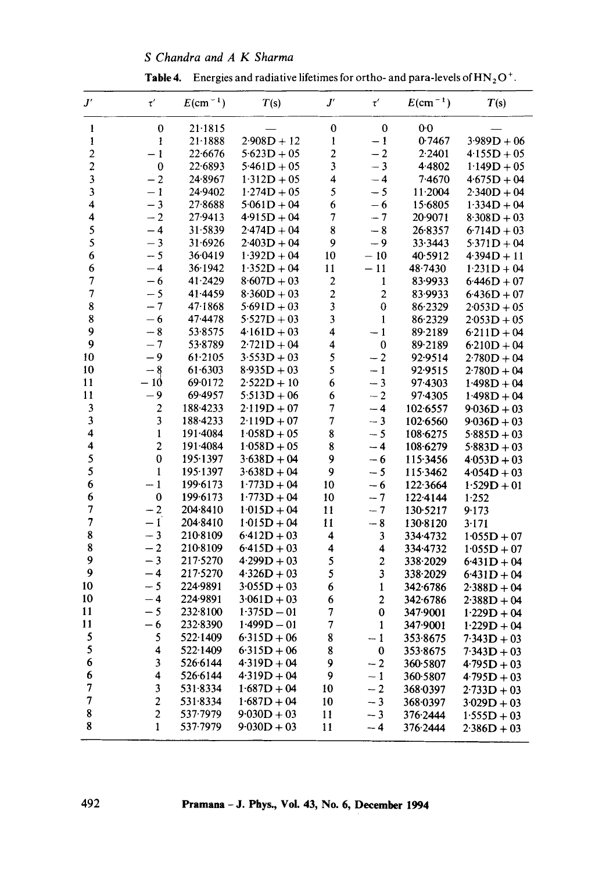## *S Chandra and A K Sharma*

**Table 4.** Energies and radiative lifetimes for ortho- and para-levels of  $HN_2O^+$ .

| $J^\prime$               | $\tau'$                 | $E$ (cm <sup>-1</sup> ) | T(s)          | $J^\prime$               | $\tau'$                 | $E$ (cm <sup>-1</sup> ) | T(s)          |
|--------------------------|-------------------------|-------------------------|---------------|--------------------------|-------------------------|-------------------------|---------------|
| $\mathbf{1}$             | $\bf{0}$                | 21.1815                 |               | $\bf{0}$                 | $\mathbf 0$             | 0 <sub>0</sub>          |               |
| 1                        | 1                       | $21 - 1888$             | $2.908D + 12$ | l                        | $-1$                    | 0.7467                  | $3.989D + 06$ |
| $\overline{\mathbf{c}}$  | $-1$                    | 22.6676                 | $5.623D + 05$ | $\overline{\mathbf{c}}$  | $-2$                    | 2.2401                  | $4.155D + 05$ |
| $\overline{\mathbf{c}}$  | $\bf{0}$                | 22.6893                 | $5.461D + 05$ | 3                        | $-3$                    | 4.4802                  | $1.149D + 05$ |
| $\overline{\mathbf{3}}$  | $-2$                    | 24.8967                 | $1.312D + 05$ | 4                        | $-4$                    | 7.4670                  | $4.675D + 04$ |
| $\mathbf{3}$             | $-1$                    | 24.9402                 | $1.274D + 05$ | 5                        | $-5$                    | 11.2004                 | $2.340D + 04$ |
| 4                        | $-3$                    | 27.8688                 | $5.061D + 04$ | 6                        | $-6$                    | 15.6805                 | $1.334D + 04$ |
| 4                        | $-2$                    | 27.9413                 | $4.915D + 04$ | 7                        | $-7$                    | 20.9071                 | $8.308D + 03$ |
| 5                        | $-4$                    | 31.5839                 | $2.474D + 04$ | 8                        | $-8$                    | 26.8357                 | $6.714D + 03$ |
| 5                        | $-3$                    | 31.6926                 | $2.403D + 04$ | 9                        | - 9                     | 33.3443                 | $5.371D + 04$ |
| 6                        | $-5$                    | 36.0419                 | $1.392D + 04$ | 10                       | $-10$                   | 40.5912                 | $4.394D + 11$ |
| 6                        | $-4$                    | 36.1942                 | $1.352D + 04$ | 11                       | $-11$                   | 48.7430                 | $1.231D + 04$ |
| $\overline{7}$           | $-6$                    | 41.2429                 | $8.607D + 03$ | $\overline{\mathbf{c}}$  | $\mathbf{1}$            | 83.9933                 | $6.446D + 07$ |
| $\overline{\mathcal{I}}$ | $-5$                    | 41.4459                 | $8.360D + 03$ | $\overline{\mathbf{c}}$  | $\overline{c}$          | 83.9933                 | $6.436D + 07$ |
| 8                        | $-7$                    | 47.1868                 | $5.691D + 03$ | 3                        | 0                       | 86.2329                 | $2.053D + 05$ |
| 8                        | $-6$                    | 47.4478                 | $5.527D + 03$ | 3                        | $\mathbf{1}$            | 86.2329                 | $2.053D + 05$ |
| 9                        | $-8$                    | 53.8575                 | $4.161D + 03$ | $\overline{\mathbf{4}}$  | $-1$                    | 89.2189                 | $6.211D + 04$ |
| 9                        | $-7$                    | 53.8789                 | $2.721D + 04$ | 4                        | $\pmb{0}$               | 89.2189                 | $6.210D + 04$ |
| 10                       | $-9$                    | 61.2105                 | $3.553D + 03$ | 5                        | $-2$                    | 92.9514                 | $2.780D + 04$ |
| 10                       | $-8$                    | 61.6303                 | $8.935D + 03$ | 5                        | $-1$                    | 92.9515                 | $2.780D + 04$ |
| 11                       | - 10                    | 69.0172                 | $2.522D + 10$ | $\boldsymbol{6}$         | $-3$                    | 97.4303                 | $1.498D + 04$ |
| 11                       | - 9                     | 69.4957                 | $5:513D + 06$ | 6                        | $-2$                    | 97.4305                 | $1.498D + 04$ |
| 3                        | $\overline{\mathbf{c}}$ | 188.4233                | $2.119D + 07$ | $\overline{7}$           | $-4$                    | 102.6557                | $9.036D + 03$ |
| $\mathbf{3}$             | 3                       | 188.4233                | $2.119D + 07$ | $\overline{\mathcal{I}}$ | $-3$                    | 102.6560                | $9.036D + 03$ |
| 4                        | $\mathbf{1}$            | 191.4084                | $1.058D + 05$ | 8                        | $-5$                    | 108.6275                | $5.885D + 03$ |
| 4                        | $\overline{\mathbf{c}}$ | 191.4084                | $1.058D + 05$ | 8                        | $-4$                    | 108.6279                | $5.883D + 03$ |
| 5                        | $\bf{0}$                | 195.1397                | $3.638D + 04$ | 9                        | $-6$                    | 115.3456                | $4.053D + 03$ |
| 5                        | $\mathbf{1}$            | 195.1397                | $3.638D + 04$ | 9                        | $-5$                    | 115.3462                | $4.054D + 03$ |
| 6                        | $-1$                    | 199.6173                | $1.773D + 04$ | 10                       | $-6$                    | 122.3664                | $1.529D + 01$ |
| 6                        | $\mathbf 0$             | 199.6173                | $1.773D + 04$ | 10                       | $-7$                    | 122.4144                | 1.252         |
| $\boldsymbol{7}$         | $-2$                    | 204.8410                | $1.015D + 04$ | 11                       | $-7$                    | 130.5217                | 9.173         |
| $\overline{\mathcal{L}}$ | $-1$                    | 204-8410                | $1.015D + 04$ | 11                       | $-8$                    | 130.8120                | 3.171         |
| 8                        | $-3$                    | 210-8109                | $6.412D + 03$ | 4                        | 3                       | 334.4732                | $1-055D + 07$ |
| 8                        | $-2$                    | 210.8109                | $6.415D + 03$ | 4                        | 4                       | 334.4732                | $1.055D + 07$ |
| 9                        | $-3$                    | 217.5270                | $4.299D + 03$ | 5                        | $\overline{\mathbf{c}}$ | 338.2029                | $6.431D + 04$ |
| 9                        | $-4$                    | 217-5270                | $4.326D + 03$ | 5                        | 3                       | 338-2029                | $6.431D + 04$ |
| 10                       | $-5$                    | 224.9891                | $3.055D + 03$ | 6                        | $\mathbf{1}$            | 342.6786                | $2.388D + 04$ |
| 10                       | $-4$                    | 224.9891                | $3.061D + 03$ | 6                        | $\overline{c}$          | 342.6786                | $2.388D + 04$ |
| 11                       | $-5$                    | 232.8100                | $1.375D - 01$ | 7                        | $\bf{0}$                | 347.9001                | $1.229D + 04$ |
| 11                       | $-6$                    | 232.8390                | $1.499D - 01$ | $\overline{7}$           | $\mathbf{1}$            | 347-9001                | $1.229D + 04$ |
| 5                        | 5                       | 522.1409                | $6.315D + 06$ | 8                        | $-1$                    | 353.8675                | $7.343D + 03$ |
| 5                        | 4                       | 522.1409                | $6.315D + 06$ | 8                        | $\bf{0}$                | 353.8675                | $7.343D + 03$ |
| 6                        | 3                       | 526.6144                | $4.319D + 04$ | 9                        | $-2$                    | 360.5807                | $4.795D + 03$ |
| 6                        | 4                       | 526.6144                | $4.319D + 04$ | 9                        | $-1$                    | 360-5807                | $4.795D + 03$ |
| 7                        | 3                       | 531.8334                | $1.687D + 04$ | 10                       | $-2$                    | 368.0397                | $2.733D + 03$ |
| 7                        | $\overline{\mathbf{c}}$ | 531.8334                | $1.687D + 04$ | 10                       | $-3$                    | 368.0397                | $3.029D + 03$ |
| 8                        | $\overline{c}$          | 537-7979                | $9.030D + 03$ | 11                       | $-3$                    | 376-2444                | $1.555D + 03$ |
| 8                        | $\mathbf{1}$            | 537.7979                | $9.030D + 03$ | 11                       | $-4$                    | 376.2444                | $2.386D + 03$ |
|                          |                         |                         |               |                          |                         |                         |               |